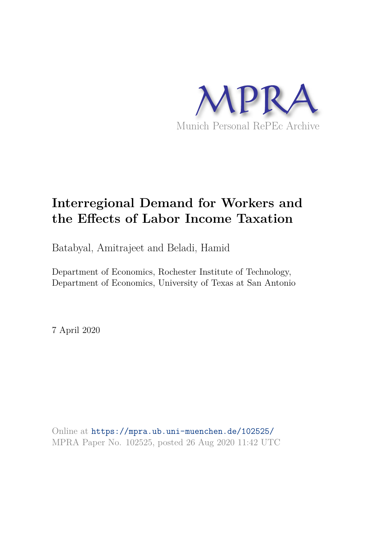

## **Interregional Demand for Workers and the Effects of Labor Income Taxation**

Batabyal, Amitrajeet and Beladi, Hamid

Department of Economics, Rochester Institute of Technology, Department of Economics, University of Texas at San Antonio

7 April 2020

Online at https://mpra.ub.uni-muenchen.de/102525/ MPRA Paper No. 102525, posted 26 Aug 2020 11:42 UTC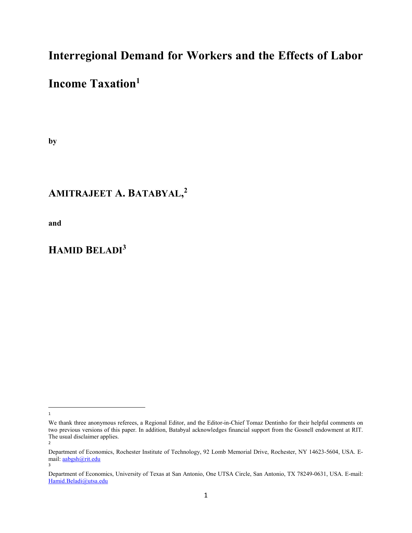## Interregional Demand for Workers and the Effects of Labor

## Income Taxation<sup>1</sup>

by

## AMITRAJEET A. BATABYAL, 2

and

## HAMID BELADI<sup>3</sup>

 $\overline{\phantom{a}}$ 1

We thank three anonymous referees, a Regional Editor, and the Editor-in-Chief Tomaz Dentinho for their helpful comments on two previous versions of this paper. In addition, Batabyal acknowledges financial support from the Gosnell endowment at RIT. The usual disclaimer applies.

<sup>2</sup>

Department of Economics, Rochester Institute of Technology, 92 Lomb Memorial Drive, Rochester, NY 14623-5604, USA. Email: aabgsh@rit.edu 3

Department of Economics, University of Texas at San Antonio, One UTSA Circle, San Antonio, TX 78249-0631, USA. E-mail: Hamid.Beladi@utsa.edu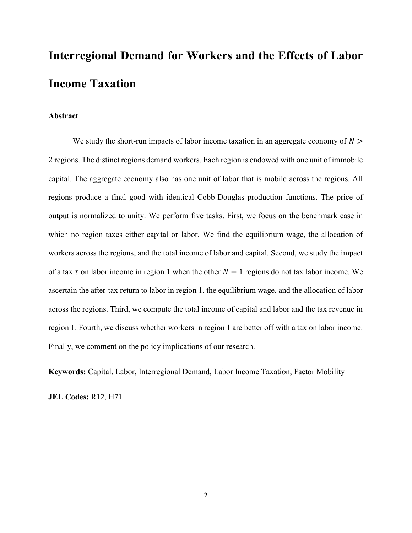# Interregional Demand for Workers and the Effects of Labor Income Taxation

#### Abstract

We study the short-run impacts of labor income taxation in an aggregate economy of  $N >$ 2 regions. The distinct regions demand workers. Each region is endowed with one unit of immobile capital. The aggregate economy also has one unit of labor that is mobile across the regions. All regions produce a final good with identical Cobb-Douglas production functions. The price of output is normalized to unity. We perform five tasks. First, we focus on the benchmark case in which no region taxes either capital or labor. We find the equilibrium wage, the allocation of workers across the regions, and the total income of labor and capital. Second, we study the impact of a tax  $\tau$  on labor income in region 1 when the other  $N - 1$  regions do not tax labor income. We ascertain the after-tax return to labor in region 1, the equilibrium wage, and the allocation of labor across the regions. Third, we compute the total income of capital and labor and the tax revenue in region 1. Fourth, we discuss whether workers in region 1 are better off with a tax on labor income. Finally, we comment on the policy implications of our research.

Keywords: Capital, Labor, Interregional Demand, Labor Income Taxation, Factor Mobility

JEL Codes: R12, H71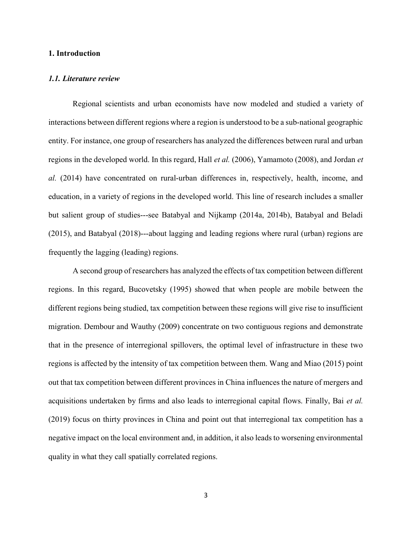#### 1. Introduction

#### 1.1. Literature review

 Regional scientists and urban economists have now modeled and studied a variety of interactions between different regions where a region is understood to be a sub-national geographic entity. For instance, one group of researchers has analyzed the differences between rural and urban regions in the developed world. In this regard, Hall et al. (2006), Yamamoto (2008), and Jordan et al. (2014) have concentrated on rural-urban differences in, respectively, health, income, and education, in a variety of regions in the developed world. This line of research includes a smaller but salient group of studies---see Batabyal and Nijkamp (2014a, 2014b), Batabyal and Beladi (2015), and Batabyal (2018)---about lagging and leading regions where rural (urban) regions are frequently the lagging (leading) regions.

A second group of researchers has analyzed the effects of tax competition between different regions. In this regard, Bucovetsky (1995) showed that when people are mobile between the different regions being studied, tax competition between these regions will give rise to insufficient migration. Dembour and Wauthy (2009) concentrate on two contiguous regions and demonstrate that in the presence of interregional spillovers, the optimal level of infrastructure in these two regions is affected by the intensity of tax competition between them. Wang and Miao (2015) point out that tax competition between different provinces in China influences the nature of mergers and acquisitions undertaken by firms and also leads to interregional capital flows. Finally, Bai et al. (2019) focus on thirty provinces in China and point out that interregional tax competition has a negative impact on the local environment and, in addition, it also leads to worsening environmental quality in what they call spatially correlated regions.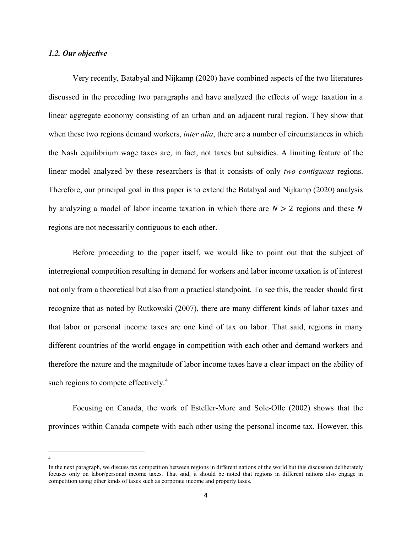#### 1.2. Our objective

 Very recently, Batabyal and Nijkamp (2020) have combined aspects of the two literatures discussed in the preceding two paragraphs and have analyzed the effects of wage taxation in a linear aggregate economy consisting of an urban and an adjacent rural region. They show that when these two regions demand workers, *inter alia*, there are a number of circumstances in which the Nash equilibrium wage taxes are, in fact, not taxes but subsidies. A limiting feature of the linear model analyzed by these researchers is that it consists of only two contiguous regions. Therefore, our principal goal in this paper is to extend the Batabyal and Nijkamp (2020) analysis by analyzing a model of labor income taxation in which there are  $N > 2$  regions and these N regions are not necessarily contiguous to each other.

 Before proceeding to the paper itself, we would like to point out that the subject of interregional competition resulting in demand for workers and labor income taxation is of interest not only from a theoretical but also from a practical standpoint. To see this, the reader should first recognize that as noted by Rutkowski (2007), there are many different kinds of labor taxes and that labor or personal income taxes are one kind of tax on labor. That said, regions in many different countries of the world engage in competition with each other and demand workers and therefore the nature and the magnitude of labor income taxes have a clear impact on the ability of such regions to compete effectively.<sup>4</sup>

 Focusing on Canada, the work of Esteller-More and Sole-Olle (2002) shows that the provinces within Canada compete with each other using the personal income tax. However, this

 $\overline{\phantom{a}}$ 4

In the next paragraph, we discuss tax competition between regions in different nations of the world but this discussion deliberately focuses only on labor/personal income taxes. That said, it should be noted that regions in different nations also engage in competition using other kinds of taxes such as corporate income and property taxes.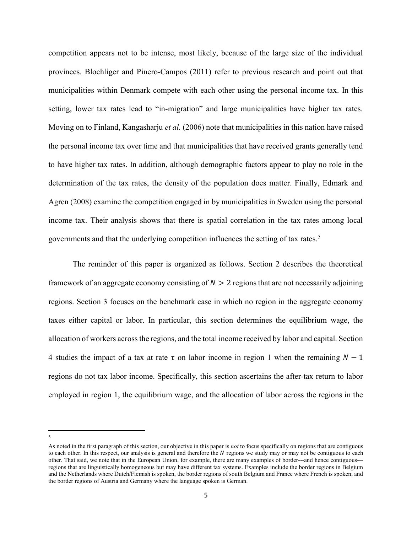competition appears not to be intense, most likely, because of the large size of the individual provinces. Blochliger and Pinero-Campos (2011) refer to previous research and point out that municipalities within Denmark compete with each other using the personal income tax. In this setting, lower tax rates lead to "in-migration" and large municipalities have higher tax rates. Moving on to Finland, Kangasharju *et al.* (2006) note that municipalities in this nation have raised the personal income tax over time and that municipalities that have received grants generally tend to have higher tax rates. In addition, although demographic factors appear to play no role in the determination of the tax rates, the density of the population does matter. Finally, Edmark and Agren (2008) examine the competition engaged in by municipalities in Sweden using the personal income tax. Their analysis shows that there is spatial correlation in the tax rates among local governments and that the underlying competition influences the setting of tax rates. 5

 The reminder of this paper is organized as follows. Section 2 describes the theoretical framework of an aggregate economy consisting of  $N > 2$  regions that are not necessarily adjoining regions. Section 3 focuses on the benchmark case in which no region in the aggregate economy taxes either capital or labor. In particular, this section determines the equilibrium wage, the allocation of workers across the regions, and the total income received by labor and capital. Section 4 studies the impact of a tax at rate  $\tau$  on labor income in region 1 when the remaining  $N - 1$ regions do not tax labor income. Specifically, this section ascertains the after-tax return to labor employed in region 1, the equilibrium wage, and the allocation of labor across the regions in the

 $\overline{a}$ 5

As noted in the first paragraph of this section, our objective in this paper is *not* to focus specifically on regions that are contiguous to each other. In this respect, our analysis is general and therefore the  $N$  regions we study may or may not be contiguous to each other. That said, we note that in the European Union, for example, there are many examples of border---and hence contiguous-- regions that are linguistically homogeneous but may have different tax systems. Examples include the border regions in Belgium and the Netherlands where Dutch/Flemish is spoken, the border regions of south Belgium and France where French is spoken, and the border regions of Austria and Germany where the language spoken is German.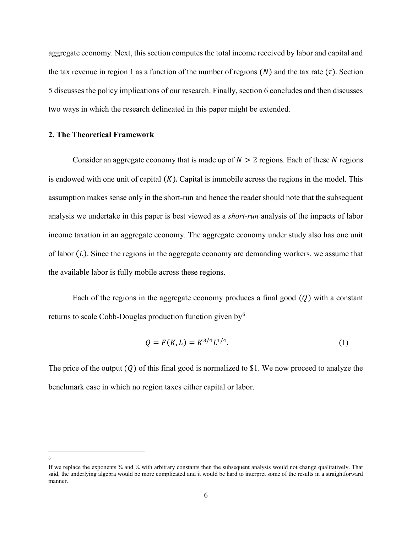aggregate economy. Next, this section computes the total income received by labor and capital and the tax revenue in region 1 as a function of the number of regions  $(N)$  and the tax rate  $(\tau)$ . Section 5 discusses the policy implications of our research. Finally, section 6 concludes and then discusses two ways in which the research delineated in this paper might be extended.

#### 2. The Theoretical Framework

Consider an aggregate economy that is made up of  $N > 2$  regions. Each of these N regions is endowed with one unit of capital  $(K)$ . Capital is immobile across the regions in the model. This assumption makes sense only in the short-run and hence the reader should note that the subsequent analysis we undertake in this paper is best viewed as a *short-run* analysis of the impacts of labor income taxation in an aggregate economy. The aggregate economy under study also has one unit of labor  $(L)$ . Since the regions in the aggregate economy are demanding workers, we assume that the available labor is fully mobile across these regions.

Each of the regions in the aggregate economy produces a final good  $(0)$  with a constant returns to scale Cobb-Douglas production function given by  $6\%$ 

$$
Q = F(K, L) = K^{3/4} L^{1/4}.
$$
 (1)

The price of the output  $(Q)$  of this final good is normalized to \$1. We now proceed to analyze the benchmark case in which no region taxes either capital or labor.

l 6

If we replace the exponents  $\frac{3}{4}$  and  $\frac{1}{4}$  with arbitrary constants then the subsequent analysis would not change qualitatively. That said, the underlying algebra would be more complicated and it would be hard to interpret some of the results in a straightforward manner.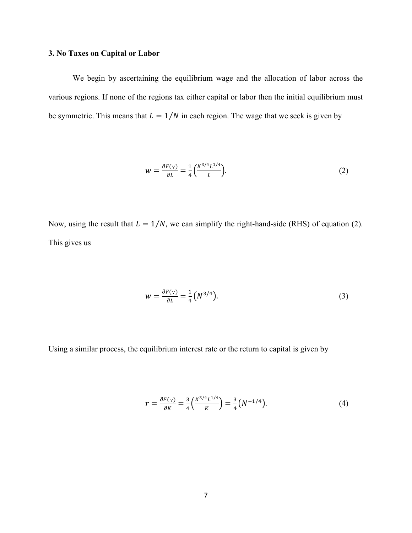#### 3. No Taxes on Capital or Labor

 We begin by ascertaining the equilibrium wage and the allocation of labor across the various regions. If none of the regions tax either capital or labor then the initial equilibrium must be symmetric. This means that  $L = 1/N$  in each region. The wage that we seek is given by

$$
w = \frac{\partial F(\cdot, \cdot)}{\partial L} = \frac{1}{4} \left( \frac{K^{3/4} L^{1/4}}{L} \right). \tag{2}
$$

Now, using the result that  $L = 1/N$ , we can simplify the right-hand-side (RHS) of equation (2). This gives us

$$
w = \frac{\partial F(\cdot)}{\partial L} = \frac{1}{4} \left( N^{3/4} \right). \tag{3}
$$

Using a similar process, the equilibrium interest rate or the return to capital is given by

$$
r = \frac{\partial F(\cdot, \cdot)}{\partial K} = \frac{3}{4} \left( \frac{K^{3/4} L^{1/4}}{K} \right) = \frac{3}{4} \left( N^{-1/4} \right). \tag{4}
$$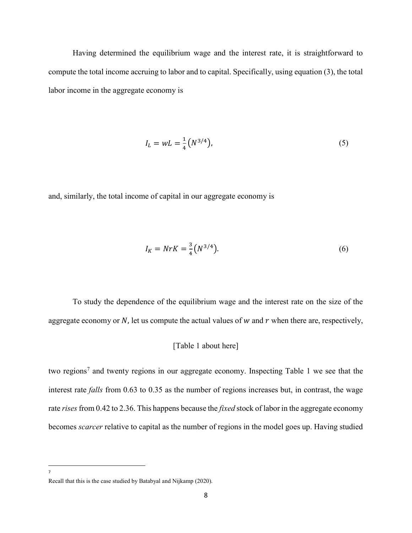Having determined the equilibrium wage and the interest rate, it is straightforward to compute the total income accruing to labor and to capital. Specifically, using equation (3), the total labor income in the aggregate economy is

$$
I_L = wL = \frac{1}{4} (N^{3/4}), \tag{5}
$$

and, similarly, the total income of capital in our aggregate economy is

$$
I_K = NrK = \frac{3}{4}(N^{3/4}).
$$
 (6)

 To study the dependence of the equilibrium wage and the interest rate on the size of the aggregate economy or  $N$ , let us compute the actual values of  $w$  and  $r$  when there are, respectively,

#### [Table 1 about here]

two regions<sup>7</sup> and twenty regions in our aggregate economy. Inspecting Table 1 we see that the interest rate falls from 0.63 to 0.35 as the number of regions increases but, in contrast, the wage rate rises from 0.42 to 2.36. This happens because the *fixed* stock of labor in the aggregate economy becomes *scarcer* relative to capital as the number of regions in the model goes up. Having studied

 $\overline{\phantom{a}}$ 7

Recall that this is the case studied by Batabyal and Nijkamp (2020).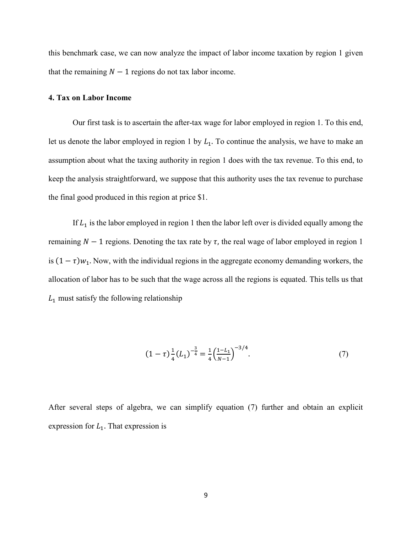this benchmark case, we can now analyze the impact of labor income taxation by region 1 given that the remaining  $N - 1$  regions do not tax labor income.

#### 4. Tax on Labor Income

 Our first task is to ascertain the after-tax wage for labor employed in region 1. To this end, let us denote the labor employed in region 1 by  $L_1$ . To continue the analysis, we have to make an assumption about what the taxing authority in region 1 does with the tax revenue. To this end, to keep the analysis straightforward, we suppose that this authority uses the tax revenue to purchase the final good produced in this region at price \$1.

If  $L_1$  is the labor employed in region 1 then the labor left over is divided equally among the remaining  $N - 1$  regions. Denoting the tax rate by  $\tau$ , the real wage of labor employed in region 1 is  $(1 - \tau)w_1$ . Now, with the individual regions in the aggregate economy demanding workers, the allocation of labor has to be such that the wage across all the regions is equated. This tells us that  $L_1$  must satisfy the following relationship

$$
(1 - \tau) \frac{1}{4} (L_1)^{-\frac{3}{4}} = \frac{1}{4} \left( \frac{1 - L_1}{N - 1} \right)^{-3/4}.
$$
 (7)

After several steps of algebra, we can simplify equation (7) further and obtain an explicit expression for  $L_1$ . That expression is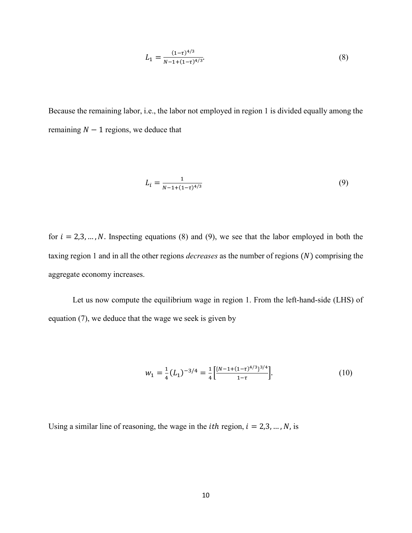$$
L_1 = \frac{(1-\tau)^{4/3}}{N-1+(1-\tau)^{4/3}}.\tag{8}
$$

Because the remaining labor, i.e., the labor not employed in region 1 is divided equally among the remaining  $N - 1$  regions, we deduce that

$$
L_i = \frac{1}{N - 1 + (1 - \tau)^{4/3}}\tag{9}
$$

for  $i = 2,3,..., N$ . Inspecting equations (8) and (9), we see that the labor employed in both the taxing region 1 and in all the other regions *decreases* as the number of regions  $(N)$  comprising the aggregate economy increases.

 Let us now compute the equilibrium wage in region 1. From the left-hand-side (LHS) of equation (7), we deduce that the wage we seek is given by

$$
w_1 = \frac{1}{4} (L_1)^{-3/4} = \frac{1}{4} \left[ \frac{\left(N - 1 + (1 - \tau)^{4/3}\right)^{3/4}}{1 - \tau} \right]. \tag{10}
$$

Using a similar line of reasoning, the wage in the *ith* region,  $i = 2,3, ..., N$ , is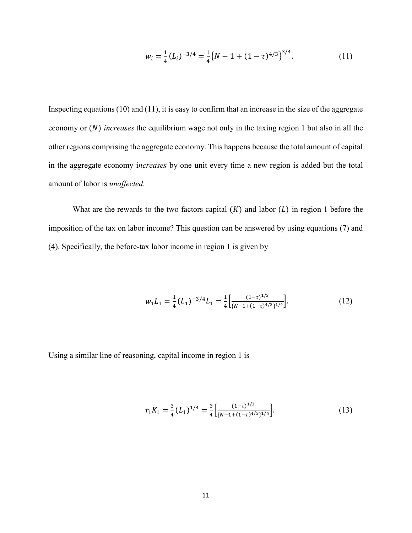$$
w_i = \frac{1}{4} (L_i)^{-3/4} = \frac{1}{4} \{ N - 1 + (1 - \tau)^{4/3} \}^{3/4}.
$$
 (11)

Inspecting equations (10) and (11), it is easy to confirm that an increase in the size of the aggregate economy or  $(N)$  *increases* the equilibrium wage not only in the taxing region 1 but also in all the other regions comprising the aggregate economy. This happens because the total amount of capital in the aggregate economy increases by one unit every time a new region is added but the total amount of labor is unaffected.

What are the rewards to the two factors capital  $(K)$  and labor  $(L)$  in region 1 before the imposition of the tax on labor income? This question can be answered by using equations (7) and (4). Specifically, the before-tax labor income in region 1 is given by

$$
w_1 L_1 = \frac{1}{4} (L_1)^{-3/4} L_1 = \frac{1}{4} \left[ \frac{(1-\tau)^{1/3}}{(N-1+(1-\tau)^{4/3})^{1/4}} \right].
$$
 (12)

Using a similar line of reasoning, capital income in region 1 is

$$
r_1 K_1 = \frac{3}{4} (L_1)^{1/4} = \frac{3}{4} \left[ \frac{(1-\tau)^{1/3}}{[N-1+(1-\tau)^{4/3}]^{1/4}} \right].
$$
 (13)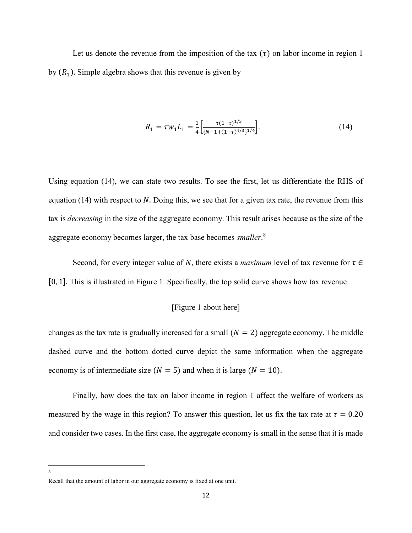Let us denote the revenue from the imposition of the tax  $(\tau)$  on labor income in region 1 by  $(R_1)$ . Simple algebra shows that this revenue is given by

$$
R_1 = \tau w_1 L_1 = \frac{1}{4} \left[ \frac{\tau (1 - \tau)^{1/3}}{(N - 1 + (1 - \tau)^{4/3})^{1/4}} \right].
$$
 (14)

Using equation (14), we can state two results. To see the first, let us differentiate the RHS of equation (14) with respect to  $N$ . Doing this, we see that for a given tax rate, the revenue from this tax is decreasing in the size of the aggregate economy. This result arises because as the size of the aggregate economy becomes larger, the tax base becomes smaller.<sup>8</sup>

Second, for every integer value of N, there exists a *maximum* level of tax revenue for  $\tau \in$ [0, 1]. This is illustrated in Figure 1. Specifically, the top solid curve shows how tax revenue

#### [Figure 1 about here]

changes as the tax rate is gradually increased for a small  $(N = 2)$  aggregate economy. The middle dashed curve and the bottom dotted curve depict the same information when the aggregate economy is of intermediate size ( $N = 5$ ) and when it is large ( $N = 10$ ).

 Finally, how does the tax on labor income in region 1 affect the welfare of workers as measured by the wage in this region? To answer this question, let us fix the tax rate at  $\tau = 0.20$ and consider two cases. In the first case, the aggregate economy is small in the sense that it is made

l 8

Recall that the amount of labor in our aggregate economy is fixed at one unit.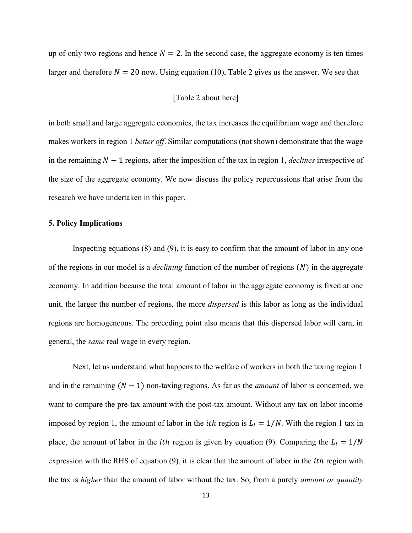up of only two regions and hence  $N = 2$ . In the second case, the aggregate economy is ten times larger and therefore  $N = 20$  now. Using equation (10), Table 2 gives us the answer. We see that

#### [Table 2 about here]

in both small and large aggregate economies, the tax increases the equilibrium wage and therefore makes workers in region 1 *better off*. Similar computations (not shown) demonstrate that the wage in the remaining  $N - 1$  regions, after the imposition of the tax in region 1, *declines* irrespective of the size of the aggregate economy. We now discuss the policy repercussions that arise from the research we have undertaken in this paper.

#### 5. Policy Implications

Inspecting equations (8) and (9), it is easy to confirm that the amount of labor in any one of the regions in our model is a *declining* function of the number of regions  $(N)$  in the aggregate economy. In addition because the total amount of labor in the aggregate economy is fixed at one unit, the larger the number of regions, the more *dispersed* is this labor as long as the individual regions are homogeneous. The preceding point also means that this dispersed labor will earn, in general, the same real wage in every region.

 Next, let us understand what happens to the welfare of workers in both the taxing region 1 and in the remaining  $(N - 1)$  non-taxing regions. As far as the *amount* of labor is concerned, we want to compare the pre-tax amount with the post-tax amount. Without any tax on labor income imposed by region 1, the amount of labor in the *ith* region is  $L_i = 1/N$ . With the region 1 tax in place, the amount of labor in the *ith* region is given by equation (9). Comparing the  $L_i = 1/N$ expression with the RHS of equation  $(9)$ , it is clear that the amount of labor in the *ith* region with the tax is *higher* than the amount of labor without the tax. So, from a purely *amount or quantity*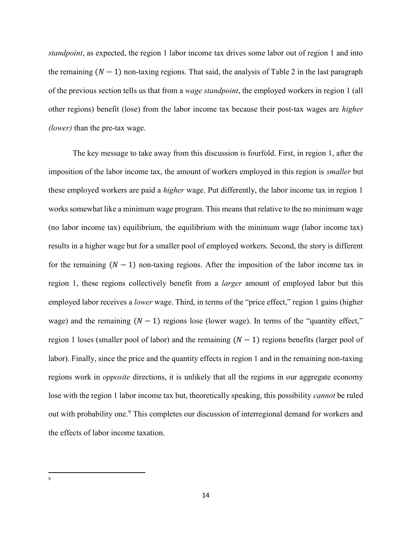standpoint, as expected, the region 1 labor income tax drives some labor out of region 1 and into the remaining  $(N - 1)$  non-taxing regions. That said, the analysis of Table 2 in the last paragraph of the previous section tells us that from a wage standpoint, the employed workers in region 1 (all other regions) benefit (lose) from the labor income tax because their post-tax wages are higher (lower) than the pre-tax wage.

 The key message to take away from this discussion is fourfold. First, in region 1, after the imposition of the labor income tax, the amount of workers employed in this region is smaller but these employed workers are paid a higher wage. Put differently, the labor income tax in region 1 works somewhat like a minimum wage program. This means that relative to the no minimum wage (no labor income tax) equilibrium, the equilibrium with the minimum wage (labor income tax) results in a higher wage but for a smaller pool of employed workers. Second, the story is different for the remaining  $(N - 1)$  non-taxing regions. After the imposition of the labor income tax in region 1, these regions collectively benefit from a *larger* amount of employed labor but this employed labor receives a *lower* wage. Third, in terms of the "price effect," region 1 gains (higher wage) and the remaining  $(N - 1)$  regions lose (lower wage). In terms of the "quantity effect," region 1 loses (smaller pool of labor) and the remaining  $(N - 1)$  regions benefits (larger pool of labor). Finally, since the price and the quantity effects in region 1 and in the remaining non-taxing regions work in *opposite* directions, it is unlikely that all the regions in our aggregate economy lose with the region 1 labor income tax but, theoretically speaking, this possibility *cannot* be ruled out with probability one.<sup>9</sup> This completes our discussion of interregional demand for workers and the effects of labor income taxation.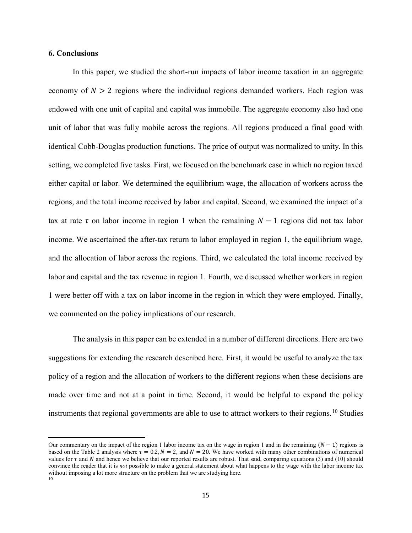#### 6. Conclusions

l

 In this paper, we studied the short-run impacts of labor income taxation in an aggregate economy of  $N > 2$  regions where the individual regions demanded workers. Each region was endowed with one unit of capital and capital was immobile. The aggregate economy also had one unit of labor that was fully mobile across the regions. All regions produced a final good with identical Cobb-Douglas production functions. The price of output was normalized to unity. In this setting, we completed five tasks. First, we focused on the benchmark case in which no region taxed either capital or labor. We determined the equilibrium wage, the allocation of workers across the regions, and the total income received by labor and capital. Second, we examined the impact of a tax at rate  $\tau$  on labor income in region 1 when the remaining  $N - 1$  regions did not tax labor income. We ascertained the after-tax return to labor employed in region 1, the equilibrium wage, and the allocation of labor across the regions. Third, we calculated the total income received by labor and capital and the tax revenue in region 1. Fourth, we discussed whether workers in region 1 were better off with a tax on labor income in the region in which they were employed. Finally, we commented on the policy implications of our research.

 The analysis in this paper can be extended in a number of different directions. Here are two suggestions for extending the research described here. First, it would be useful to analyze the tax policy of a region and the allocation of workers to the different regions when these decisions are made over time and not at a point in time. Second, it would be helpful to expand the policy instruments that regional governments are able to use to attract workers to their regions.<sup>10</sup> Studies

Our commentary on the impact of the region 1 labor income tax on the wage in region 1 and in the remaining  $(N - 1)$  regions is based on the Table 2 analysis where  $\tau = 0.2$ ,  $N = 2$ , and  $N = 20$ . We have worked with many other combinations of numerical values for  $\tau$  and N and hence we believe that our reported results are robust. That said, comparing equations (3) and (10) should convince the reader that it is *not* possible to make a general statement about what happens to the wage with the labor income tax without imposing a lot more structure on the problem that we are studying here. 10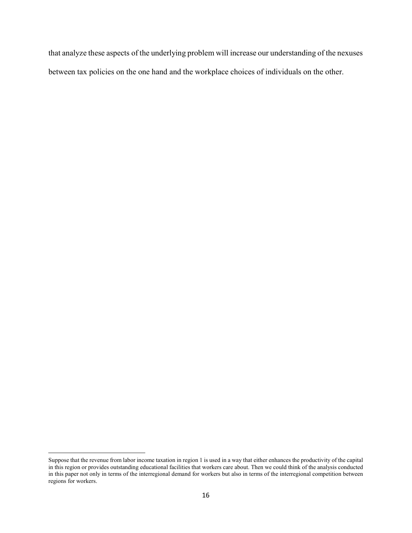that analyze these aspects of the underlying problem will increase our understanding of the nexuses between tax policies on the one hand and the workplace choices of individuals on the other.

 $\overline{\phantom{a}}$ 

Suppose that the revenue from labor income taxation in region 1 is used in a way that either enhances the productivity of the capital in this region or provides outstanding educational facilities that workers care about. Then we could think of the analysis conducted in this paper not only in terms of the interregional demand for workers but also in terms of the interregional competition between regions for workers.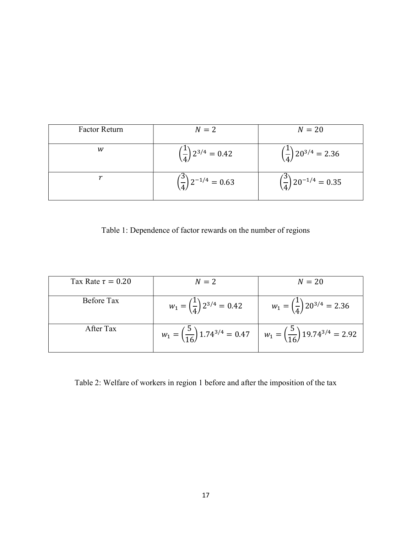| <b>Factor Return</b> | $N=2$                                     | $N=20$                                     |
|----------------------|-------------------------------------------|--------------------------------------------|
| w                    | $\left(\frac{1}{4}\right)2^{3/4} = 0.42$  | $\left(\frac{1}{4}\right)20^{3/4} = 2.36$  |
|                      | $\left(\frac{3}{4}\right)2^{-1/4} = 0.63$ | $\left(\frac{3}{4}\right)20^{-1/4} = 0.35$ |

Table 1: Dependence of factor rewards on the number of regions

| Tax Rate $\tau = 0.20$ | $N=2$                                           | $N=20$                                                                                                 |
|------------------------|-------------------------------------------------|--------------------------------------------------------------------------------------------------------|
| Before Tax             | $w_1 = \left(\frac{1}{4}\right) 2^{3/4} = 0.42$ | $w_1 = \left(\frac{1}{4}\right) 20^{3/4} = 2.36$                                                       |
| After Tax              |                                                 | $w_1 = \left(\frac{5}{16}\right)1.74^{3/4} = 0.47$ $w_1 = \left(\frac{5}{16}\right)19.74^{3/4} = 2.92$ |

Table 2: Welfare of workers in region 1 before and after the imposition of the tax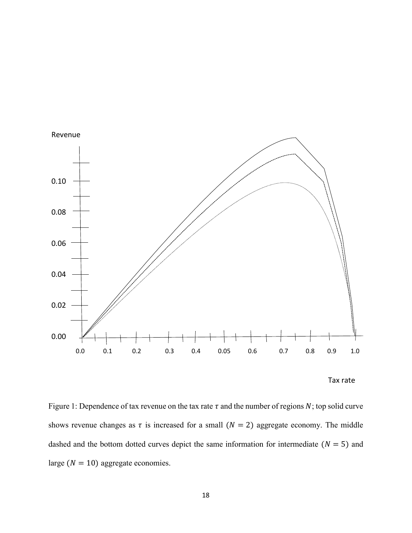

Tax rate

Figure 1: Dependence of tax revenue on the tax rate  $\tau$  and the number of regions N; top solid curve shows revenue changes as  $\tau$  is increased for a small ( $N = 2$ ) aggregate economy. The middle dashed and the bottom dotted curves depict the same information for intermediate ( $N = 5$ ) and large  $(N = 10)$  aggregate economies.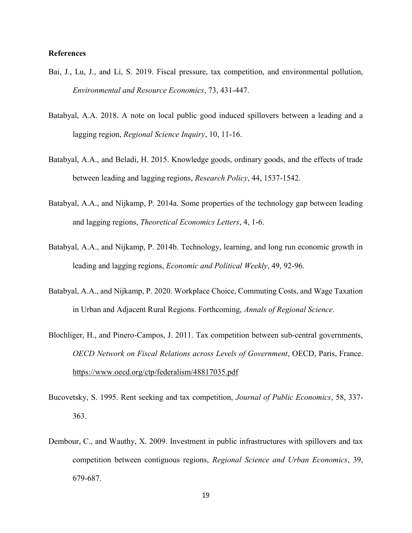#### References

- Bai, J., Lu, J., and Li, S. 2019. Fiscal pressure, tax competition, and environmental pollution, Environmental and Resource Economics, 73, 431-447.
- Batabyal, A.A. 2018. A note on local public good induced spillovers between a leading and a lagging region, Regional Science Inquiry, 10, 11-16.
- Batabyal, A.A., and Beladi, H. 2015. Knowledge goods, ordinary goods, and the effects of trade between leading and lagging regions, Research Policy, 44, 1537-1542.
- Batabyal, A.A., and Nijkamp, P. 2014a. Some properties of the technology gap between leading and lagging regions, Theoretical Economics Letters, 4, 1-6.
- Batabyal, A.A., and Nijkamp, P. 2014b. Technology, learning, and long run economic growth in leading and lagging regions, Economic and Political Weekly, 49, 92-96.
- Batabyal, A.A., and Nijkamp, P. 2020. Workplace Choice, Commuting Costs, and Wage Taxation in Urban and Adjacent Rural Regions. Forthcoming, Annals of Regional Science.
- Blochliger, H., and Pinero-Campos, J. 2011. Tax competition between sub-central governments, OECD Network on Fiscal Relations across Levels of Government, OECD, Paris, France. https://www.oecd.org/ctp/federalism/48817035.pdf
- Bucovetsky, S. 1995. Rent seeking and tax competition, Journal of Public Economics, 58, 337- 363.
- Dembour, C., and Wauthy, X. 2009. Investment in public infrastructures with spillovers and tax competition between contiguous regions, Regional Science and Urban Economics, 39, 679-687.